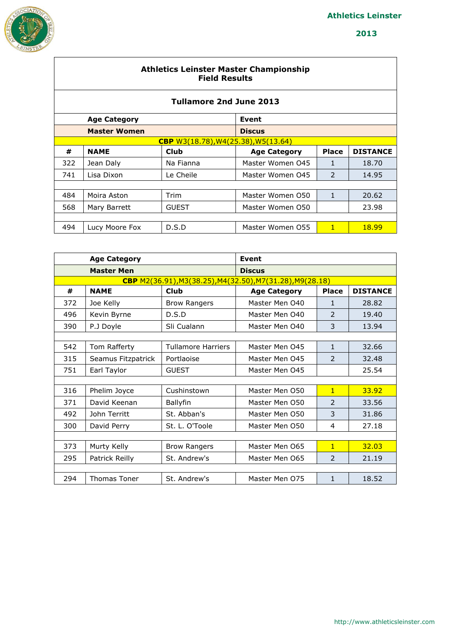

#### **Athletics Leinster Master Championship Field Results**

| <b>Tullamore 2nd June 2013</b> |                     |                                            |                     |               |                 |  |  |  |
|--------------------------------|---------------------|--------------------------------------------|---------------------|---------------|-----------------|--|--|--|
|                                | <b>Age Category</b> |                                            | Event               |               |                 |  |  |  |
|                                | <b>Master Women</b> |                                            | <b>Discus</b>       |               |                 |  |  |  |
|                                |                     | <b>CBP</b> W3(18.78), W4(25.38), W5(13.64) |                     |               |                 |  |  |  |
| #                              | <b>NAME</b>         | Club                                       | <b>Age Category</b> | <b>Place</b>  | <b>DISTANCE</b> |  |  |  |
| 322                            | Jean Daly           | Na Fianna                                  | Master Women 045    | 1             | 18.70           |  |  |  |
| 741                            | Lisa Dixon          | Le Cheile                                  | Master Women 045    | $\mathcal{P}$ | 14.95           |  |  |  |
|                                |                     |                                            |                     |               |                 |  |  |  |
| 484                            | Moira Aston         | Trim                                       | Master Women 050    | $\mathbf{1}$  | 20.62           |  |  |  |
| 568                            | Mary Barrett        | <b>GUEST</b>                               | Master Women 050    |               | 23.98           |  |  |  |
|                                |                     |                                            |                     |               |                 |  |  |  |
| 494                            | Lucy Moore Fox      | D.S.D                                      | Master Women 055    | 1             | <b>18.99</b>    |  |  |  |

|     | <b>Age Category</b> |                           | <b>Event</b>                                              |                          |                 |
|-----|---------------------|---------------------------|-----------------------------------------------------------|--------------------------|-----------------|
|     | <b>Master Men</b>   |                           | <b>Discus</b>                                             |                          |                 |
|     |                     |                           | CBP M2(36.91), M3(38.25), M4(32.50), M7(31.28), M9(28.18) |                          |                 |
| #   | <b>NAME</b>         | <b>Club</b>               | <b>Age Category</b>                                       | <b>Place</b>             | <b>DISTANCE</b> |
| 372 | Joe Kelly           | <b>Brow Rangers</b>       | Master Men 040                                            | 1                        | 28.82           |
| 496 | Kevin Byrne         | D.S.D                     | Master Men 040                                            | $\mathcal{P}$            | 19.40           |
| 390 | P.J Doyle           | Sli Cualann               | Master Men 040                                            | 3                        | 13.94           |
|     |                     |                           |                                                           |                          |                 |
| 542 | Tom Rafferty        | <b>Tullamore Harriers</b> | Master Men 045                                            | 1                        | 32.66           |
| 315 | Seamus Fitzpatrick  | Portlaoise                | Master Men 045                                            | 2                        | 32.48           |
| 751 | Earl Taylor         | <b>GUEST</b>              | Master Men 045                                            |                          | 25.54           |
|     |                     |                           |                                                           |                          |                 |
| 316 | Phelim Joyce        | Cushinstown               | Master Men 050                                            | $\overline{1}$           | 33.92           |
| 371 | David Keenan        | Ballyfin                  | Master Men O50                                            | $\overline{\phantom{a}}$ | 33.56           |
| 492 | John Territt        | St. Abban's               | Master Men 050                                            | 3                        | 31.86           |
| 300 | David Perry         | St. L. O'Toole            | Master Men 050                                            | 4                        | 27.18           |
|     |                     |                           |                                                           |                          |                 |
| 373 | Murty Kelly         | <b>Brow Rangers</b>       | Master Men 065                                            | $\overline{1}$           | 32.03           |
| 295 | Patrick Reilly      | St. Andrew's              | Master Men 065                                            | 2                        | 21.19           |
|     |                     |                           |                                                           |                          |                 |
| 294 | <b>Thomas Toner</b> | St. Andrew's              | Master Men 075                                            | 1                        | 18.52           |
|     |                     |                           |                                                           |                          |                 |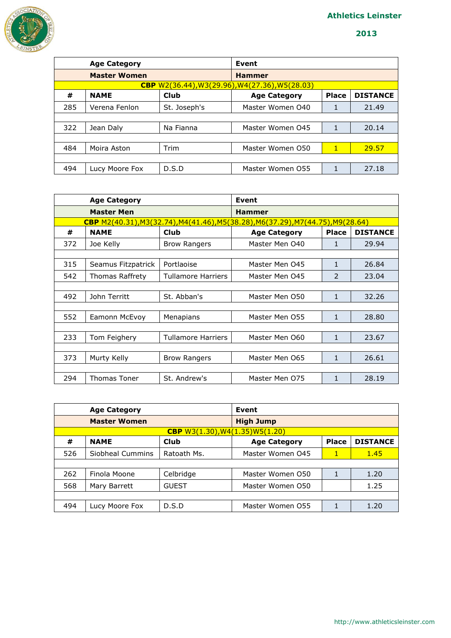

|     | <b>Age Category</b> |              | Event                                                 |              |                 |
|-----|---------------------|--------------|-------------------------------------------------------|--------------|-----------------|
|     | <b>Master Women</b> |              | <b>Hammer</b>                                         |              |                 |
|     |                     |              | <b>CBP</b> W2(36.44), W3(29.96), W4(27.36), W5(28.03) |              |                 |
| #   | <b>NAME</b>         | Club         | <b>Age Category</b>                                   | <b>Place</b> | <b>DISTANCE</b> |
| 285 | Verena Fenlon       | St. Joseph's | Master Women 040                                      |              | 21.49           |
|     |                     |              |                                                       |              |                 |
| 322 | Jean Daly           | Na Fianna    | Master Women 045                                      |              | 20.14           |
|     |                     |              |                                                       |              |                 |
| 484 | Moira Aston         | Trim         | Master Women 050                                      | $\mathbf{1}$ | 29.57           |
|     |                     |              |                                                       |              |                 |
| 494 | Lucy Moore Fox      | D.S.D        | Master Women 055                                      |              | 27.18           |

|     | <b>Age Category</b> |                     | <b>Event</b>                                                                           |              |                 |
|-----|---------------------|---------------------|----------------------------------------------------------------------------------------|--------------|-----------------|
|     | <b>Master Men</b>   |                     | <b>Hammer</b>                                                                          |              |                 |
|     |                     |                     | <b>CBP</b> M2(40.31), M3(32.74), M4(41.46), M5(38.28), M6(37.29), M7(44.75), M9(28.64) |              |                 |
| #   | <b>NAME</b>         | <b>Club</b>         | <b>Age Category</b>                                                                    | <b>Place</b> | <b>DISTANCE</b> |
| 372 | Joe Kelly           | <b>Brow Rangers</b> | Master Men 040                                                                         | 1            | 29.94           |
|     |                     |                     |                                                                                        |              |                 |
| 315 | Seamus Fitzpatrick  | Portlaoise          | Master Men 045                                                                         | $\mathbf{1}$ | 26.84           |
| 542 | Thomas Raffrety     | Tullamore Harriers  | Master Men 045                                                                         | 2            | 23.04           |
|     |                     |                     |                                                                                        |              |                 |
| 492 | John Territt        | St. Abban's         | Master Men 050                                                                         | $\mathbf{1}$ | 32.26           |
|     |                     |                     |                                                                                        |              |                 |
| 552 | Eamonn McEvoy       | Menapians           | Master Men 055                                                                         | $\mathbf{1}$ | 28.80           |
|     |                     |                     |                                                                                        |              |                 |
| 233 | Tom Feighery        | Tullamore Harriers  | Master Men 060                                                                         | 1            | 23.67           |
|     |                     |                     |                                                                                        |              |                 |
| 373 | Murty Kelly         | <b>Brow Rangers</b> | Master Men 065                                                                         | $\mathbf{1}$ | 26.61           |
|     |                     |                     |                                                                                        |              |                 |
| 294 | Thomas Toner        | St. Andrew's        | Master Men 075                                                                         | 1            | 28.19           |

| <b>Age Category</b> |                     |                                     | Event               |              |                 |
|---------------------|---------------------|-------------------------------------|---------------------|--------------|-----------------|
|                     | <b>Master Women</b> |                                     | <b>High Jump</b>    |              |                 |
|                     |                     | CBP $W3(1.30)$ , $W4(1.35)W5(1.20)$ |                     |              |                 |
| #                   | <b>NAME</b>         | <b>Club</b>                         | <b>Age Category</b> | <b>Place</b> | <b>DISTANCE</b> |
| 526                 | Siobheal Cummins    | Ratoath Ms.                         | Master Women 045    | 1            | 1.45            |
|                     |                     |                                     |                     |              |                 |
| 262                 | Finola Moone        | Celbridge                           | Master Women 050    | 1            | 1.20            |
| 568                 | Mary Barrett        | <b>GUEST</b>                        | Master Women 050    |              | 1.25            |
|                     |                     |                                     |                     |              |                 |
| 494                 | Lucy Moore Fox      | D.S.D                               | Master Women 055    |              | 1.20            |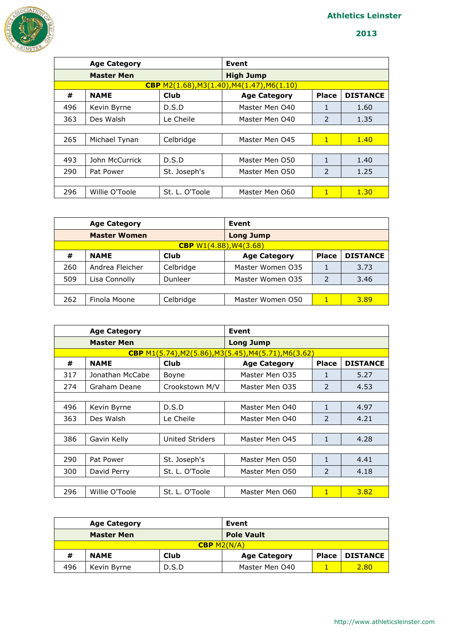

|     | <b>Age Category</b> |                | Event                                                 |                          |                 |
|-----|---------------------|----------------|-------------------------------------------------------|--------------------------|-----------------|
|     | <b>Master Men</b>   |                | <b>High Jump</b>                                      |                          |                 |
|     |                     |                | CBP $M2(1.68)$ , $M3(1.40)$ , $M4(1.47)$ , $M6(1.10)$ |                          |                 |
| #   | <b>NAME</b>         | Club           | <b>Age Category</b>                                   | <b>Place</b>             | <b>DISTANCE</b> |
| 496 | Kevin Byrne         | D.S.D          | Master Men 040                                        | 1                        | 1.60            |
| 363 | Des Walsh           | Le Cheile      | Master Men 040                                        | 2                        | 1.35            |
|     |                     |                |                                                       |                          |                 |
| 265 | Michael Tynan       | Celbridge      | Master Men 045                                        | $\mathbf{1}$             | 1.40            |
|     |                     |                |                                                       |                          |                 |
| 493 | John McCurrick      | D.S.D          | Master Men 050                                        | 1                        | 1.40            |
| 290 | Pat Power           | St. Joseph's   | Master Men O50                                        | $\overline{\phantom{a}}$ | 1.25            |
|     |                     |                |                                                       |                          |                 |
| 296 | Willie O'Toole      | St. L. O'Toole | Master Men 060                                        | 1                        | 1.30            |

| <b>Age Category</b> |                     |                                    | Event               |              |                 |  |  |
|---------------------|---------------------|------------------------------------|---------------------|--------------|-----------------|--|--|
|                     | <b>Master Women</b> |                                    | <b>Long Jump</b>    |              |                 |  |  |
|                     |                     | <b>CBP</b> $W1(4.88)$ , $W4(3.68)$ |                     |              |                 |  |  |
| #                   | <b>NAME</b>         | Club                               | <b>Age Category</b> | <b>Place</b> | <b>DISTANCE</b> |  |  |
| 260                 | Andrea Fleicher     | Celbridge                          | Master Women 035    |              | 3.73            |  |  |
| 509                 | Lisa Connolly       | Dunleer                            | Master Women 035    |              | 3.46            |  |  |
|                     |                     |                                    |                     |              |                 |  |  |
| 262                 | Finola Moone        | Celbridge                          | Master Women 050    |              | 3.89            |  |  |

| <b>Age Category</b> |                   | Event                  |                                                                    |                          |                 |
|---------------------|-------------------|------------------------|--------------------------------------------------------------------|--------------------------|-----------------|
|                     | <b>Master Men</b> |                        | <b>Long Jump</b>                                                   |                          |                 |
|                     |                   |                        | CBP $M1(5.74)$ , $M2(5.86)$ , $M3(5.45)$ , $M4(5.71)$ , $M6(3.62)$ |                          |                 |
| #                   | <b>NAME</b>       | Club                   | <b>Age Category</b>                                                | <b>Place</b>             | <b>DISTANCE</b> |
| 317                 | Jonathan McCabe   | Boyne                  | Master Men 035                                                     | 1                        | 5.27            |
| 274                 | Graham Deane      | Crookstown M/V         | Master Men 035                                                     | $\mathcal{P}$            | 4.53            |
|                     |                   |                        |                                                                    |                          |                 |
| 496                 | Kevin Byrne       | D.S.D                  | Master Men 040                                                     | $\mathbf{1}$             | 4.97            |
| 363                 | Des Walsh         | Le Cheile              | Master Men 040                                                     | $\mathcal{P}$            | 4.21            |
|                     |                   |                        |                                                                    |                          |                 |
| 386                 | Gavin Kelly       | <b>United Striders</b> | Master Men 045                                                     | $\mathbf{1}$             | 4.28            |
|                     |                   |                        |                                                                    |                          |                 |
| 290                 | Pat Power         | St. Joseph's           | Master Men O50                                                     | $\mathbf{1}$             | 4.41            |
| 300                 | David Perry       | St. L. O'Toole         | Master Men O50                                                     | $\overline{\phantom{a}}$ | 4.18            |
|                     |                   |                        |                                                                    |                          |                 |
| 296                 | Willie O'Toole    | St. L. O'Toole         | Master Men 060                                                     | $\mathbf{1}$             | 3.82            |

|     | <b>Age Category</b> |       | Event               |              |                 |  |  |
|-----|---------------------|-------|---------------------|--------------|-----------------|--|--|
|     | <b>Master Men</b>   |       | <b>Pole Vault</b>   |              |                 |  |  |
|     | CBP $M2(N/A)$       |       |                     |              |                 |  |  |
| #   | <b>NAME</b>         | Club  | <b>Age Category</b> | <b>Place</b> | <b>DISTANCE</b> |  |  |
| 496 | Kevin Byrne         | D.S.D | Master Men 040      |              | 2.80            |  |  |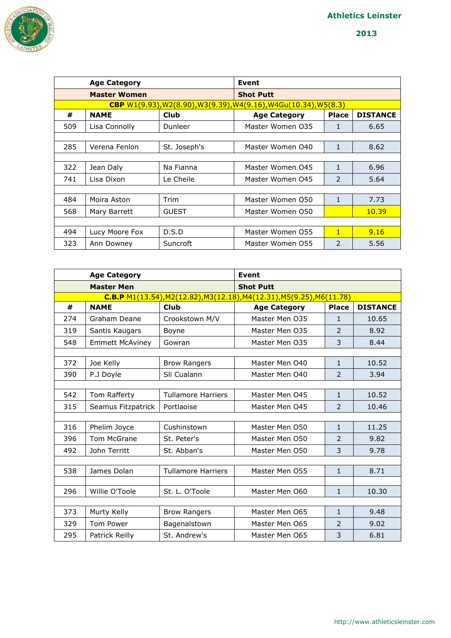

|     | <b>Age Category</b> |              | Event                                                                                    |                          |                 |
|-----|---------------------|--------------|------------------------------------------------------------------------------------------|--------------------------|-----------------|
|     | <b>Master Women</b> |              | <b>Shot Putt</b>                                                                         |                          |                 |
|     |                     |              | <b>CBP</b> $W1(9.93)$ , $W2(8.90)$ , $W3(9.39)$ , $W4(9.16)$ , $W4Gu(10.34)$ , $W5(8.3)$ |                          |                 |
| #   | <b>NAME</b>         | Club         | <b>Age Category</b>                                                                      | <b>Place</b>             | <b>DISTANCE</b> |
| 509 | Lisa Connolly       | Dunleer      | Master Women 035                                                                         | 1                        | 6.65            |
|     |                     |              |                                                                                          |                          |                 |
| 285 | Verena Fenlon       | St. Joseph's | Master Women 040                                                                         | 1                        | 8.62            |
|     |                     |              |                                                                                          |                          |                 |
| 322 | Jean Daly           | Na Fianna    | Master Women 045                                                                         | 1                        | 6.96            |
| 741 | Lisa Dixon          | Le Cheile    | Master Women 045                                                                         | $\mathcal{P}$            | 5.64            |
|     |                     |              |                                                                                          |                          |                 |
| 484 | Moira Aston         | Trim         | Master Women 050                                                                         | 1                        | 7.73            |
| 568 | Mary Barrett        | <b>GUEST</b> | Master Women 050                                                                         |                          | 10.39           |
|     |                     |              |                                                                                          |                          |                 |
| 494 | Lucy Moore Fox      | D.S.D        | Master Women 055                                                                         | 1                        | 9.16            |
| 323 | Ann Downey          | Suncroft     | Master Women 055                                                                         | $\overline{\phantom{a}}$ | 5.56            |

|     | <b>Age Category</b>    |                           | <b>Event</b>                                                          |                |                 |
|-----|------------------------|---------------------------|-----------------------------------------------------------------------|----------------|-----------------|
|     | <b>Master Men</b>      |                           | <b>Shot Putt</b>                                                      |                |                 |
|     |                        |                           | C.B.P M1(13.54), M2(12.82), M3(12.18), M4(12.31), M5(9.25), M6(11.78) |                |                 |
| #   | <b>NAME</b>            | <b>Club</b>               | <b>Age Category</b>                                                   | <b>Place</b>   | <b>DISTANCE</b> |
| 274 | Graham Deane           | Crookstown M/V            | Master Men O35                                                        | $\mathbf{1}$   | 10.65           |
| 319 | Santis Kaugars         | Boyne                     | Master Men 035                                                        | $\mathcal{P}$  | 8.92            |
| 548 | <b>Emmett McAviney</b> | Gowran                    | Master Men 035                                                        | 3              | 8.44            |
|     |                        |                           |                                                                       |                |                 |
| 372 | Joe Kelly              | <b>Brow Rangers</b>       | Master Men 040                                                        | $\mathbf{1}$   | 10.52           |
| 390 | P.J Doyle              | Sli Cualann               | Master Men 040                                                        | $\overline{2}$ | 3.94            |
|     |                        |                           |                                                                       |                |                 |
| 542 | Tom Rafferty           | <b>Tullamore Harriers</b> | Master Men 045                                                        | $\mathbf{1}$   | 10.52           |
| 315 | Seamus Fitzpatrick     | Portlaoise                | Master Men O45                                                        | $\overline{2}$ | 10.46           |
|     |                        |                           |                                                                       |                |                 |
| 316 | Phelim Joyce           | Cushinstown               | Master Men O50                                                        | $\mathbf{1}$   | 11.25           |
| 396 | Tom McGrane            | St. Peter's               | Master Men O50                                                        | 2              | 9.82            |
| 492 | John Territt           | St. Abban's               | Master Men O50                                                        | 3              | 9.78            |
|     |                        |                           |                                                                       |                |                 |
| 538 | James Dolan            | <b>Tullamore Harriers</b> | Master Men 055                                                        | $\mathbf{1}$   | 8.71            |
|     |                        |                           |                                                                       |                |                 |
| 296 | Willie O'Toole         | St. L. O'Toole            | Master Men O60                                                        | $\mathbf{1}$   | 10.30           |
|     |                        |                           |                                                                       |                |                 |
| 373 | Murty Kelly            | <b>Brow Rangers</b>       | Master Men 065                                                        | $\mathbf{1}$   | 9.48            |
| 329 | Tom Power              | Bagenalstown              | Master Men O65                                                        | $\overline{2}$ | 9.02            |
| 295 | Patrick Reilly         | St. Andrew's              | Master Men 065                                                        | 3              | 6.81            |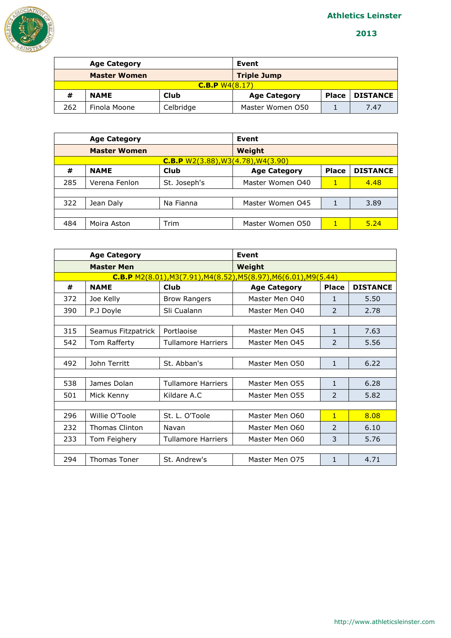



|                | <b>Age Category</b> |           | Event               |              |                 |  |
|----------------|---------------------|-----------|---------------------|--------------|-----------------|--|
|                | <b>Master Women</b> |           | <b>Triple Jump</b>  |              |                 |  |
| C.B.P W4(8.17) |                     |           |                     |              |                 |  |
| #              | <b>NAME</b>         | Club      | <b>Age Category</b> | <b>Place</b> | <b>DISTANCE</b> |  |
| 262            | Finola Moone        | Celbridge | Master Women 050    |              | 7.47            |  |

|                                           | <b>Age Category</b> |              | Event               |              |                 |  |
|-------------------------------------------|---------------------|--------------|---------------------|--------------|-----------------|--|
|                                           | <b>Master Women</b> |              | Weight              |              |                 |  |
| <b>C.B.P</b> W2(3.88), W3(4.78), W4(3.90) |                     |              |                     |              |                 |  |
| #                                         | <b>NAME</b>         | Club         | <b>Age Category</b> | <b>Place</b> | <b>DISTANCE</b> |  |
| 285                                       | Verena Fenlon       | St. Joseph's | Master Women 040    |              | 4.48            |  |
|                                           |                     |              |                     |              |                 |  |
| 322                                       | Jean Daly           | Na Fianna    | Master Women 045    |              | 3.89            |  |
|                                           |                     |              |                     |              |                 |  |
| 484                                       | Moira Aston         | Trim         | Master Women 050    | 1            | 5.24            |  |

| <b>Age Category</b>                                                |                     |                           | Event               |                          |                 |  |
|--------------------------------------------------------------------|---------------------|---------------------------|---------------------|--------------------------|-----------------|--|
| <b>Master Men</b>                                                  |                     |                           | Weight              |                          |                 |  |
| $C.B.P$ M2(8.01), M3(7.91), M4(8.52), M5(8.97), M6(6.01), M9(5.44) |                     |                           |                     |                          |                 |  |
| #                                                                  | <b>NAME</b>         | Club                      | <b>Age Category</b> | <b>Place</b>             | <b>DISTANCE</b> |  |
| 372                                                                | Joe Kelly           | <b>Brow Rangers</b>       | Master Men 040      | 1                        | 5.50            |  |
| 390                                                                | P.J Doyle           | Sli Cualann               | Master Men 040      | $\overline{\phantom{a}}$ | 2.78            |  |
|                                                                    |                     |                           |                     |                          |                 |  |
| 315                                                                | Seamus Fitzpatrick  | Portlaoise                | Master Men 045      | 1                        | 7.63            |  |
| 542                                                                | Tom Rafferty        | Tullamore Harriers        | Master Men 045      | $\mathcal{P}$            | 5.56            |  |
|                                                                    |                     |                           |                     |                          |                 |  |
| 492                                                                | John Territt        | St. Abban's               | Master Men O50      | $\mathbf{1}$             | 6.22            |  |
|                                                                    |                     |                           |                     |                          |                 |  |
| 538                                                                | James Dolan         | <b>Tullamore Harriers</b> | Master Men 055      | $\mathbf{1}$             | 6.28            |  |
| 501                                                                | Mick Kenny          | Kildare A.C.              | Master Men 055      | $\overline{\phantom{a}}$ | 5.82            |  |
|                                                                    |                     |                           |                     |                          |                 |  |
| 296                                                                | Willie O'Toole      | St. L. O'Toole            | Master Men 060      | $\mathbf{1}$             | 8.08            |  |
| 232                                                                | Thomas Clinton      | Navan                     | Master Men 060      | $\overline{\phantom{0}}$ | 6.10            |  |
| 233                                                                | Tom Feighery        | <b>Tullamore Harriers</b> | Master Men 060      | 3                        | 5.76            |  |
|                                                                    |                     |                           |                     |                          |                 |  |
| 294                                                                | <b>Thomas Toner</b> | St. Andrew's              | Master Men 075      | 1                        | 4.71            |  |